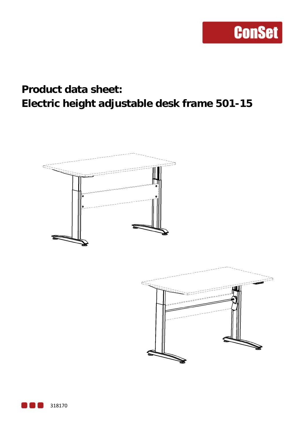## **Product data sheet: Electric height adjustable desk frame 501-15**



318170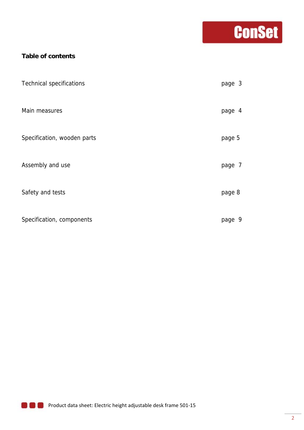# **Conset**

### **Table of contents**

| <b>Technical specifications</b> | page 3     |
|---------------------------------|------------|
| Main measures                   | page 4     |
| Specification, wooden parts     | page 5     |
| Assembly and use                | page 7     |
| Safety and tests                | page 8     |
| Specification, components       | -9<br>page |

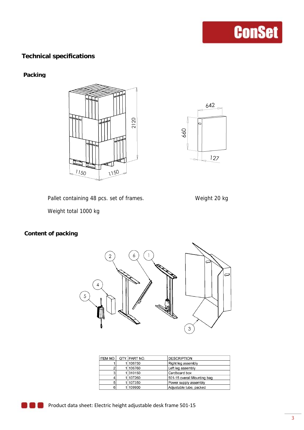### **Technical specifications**

#### **Packing**





Pallet containing 48 pcs. set of frames. Weight 20 kg



Weight total 1000 kg

### **Content of packing**



|   |                 | <b>DESCRIPTION</b>                   |
|---|-----------------|--------------------------------------|
|   | 106750          | Right leg assembly                   |
|   |                 | Left leg assembly                    |
| ٠ |                 | Cardboard box                        |
|   | 107260          | 501-15 overall Mounting bag          |
|   | 107350          | Power supply assembly                |
| 6 | 109900          | Adjustable tube, packed              |
|   | <b>ITEM NO.</b> | QTY. PART NO.<br>1 106760<br>1310150 |

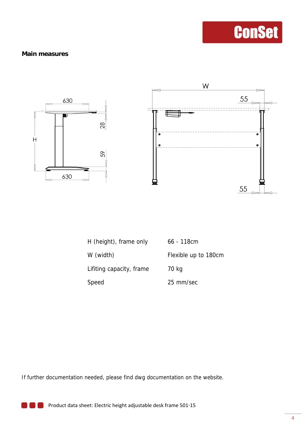#### **Main measures**



| H (height), frame only   | $66 - 118$ cm        |
|--------------------------|----------------------|
| W (width)                | Flexible up to 180cm |
| Lifiting capacity, frame | 70 kg                |
| Speed                    | 25 mm/sec            |

If further documentation needed, please find dwg documentation on the website.

**Product data sheet: Electric height adjustable desk frame 501-15**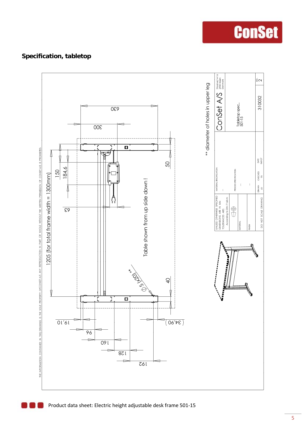### **Specification, tabletop**



**ConSet**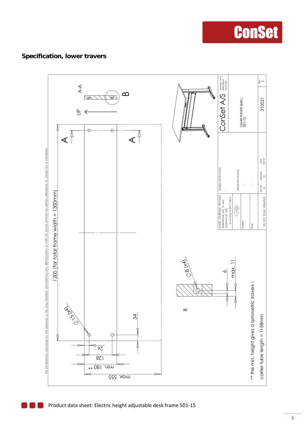### **Specification, lower travers**



**ConSet**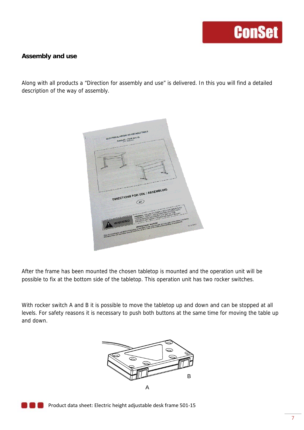#### **Assembly and use**

Along with all products a "Direction for assembly and use" is delivered. In this you will find a detailed description of the way of assembly.



After the frame has been mounted the chosen tabletop is mounted and the operation unit will be possible to fix at the bottom side of the tabletop. This operation unit has two rocker switches.

With rocker switch A and B it is possible to move the tabletop up and down and can be stopped at all levels. For safety reasons it is necessary to push both buttons at the same time for moving the table up and down.



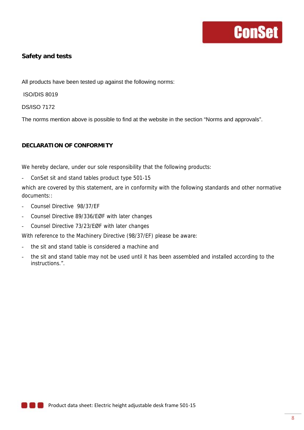#### **Safety and tests**

All products have been tested up against the following norms:

ISO/DIS 8019

DS/ISO 7172

The norms mention above is possible to find at the website in the section "Norms and approvals".

#### **DECLARATION OF CONFORMITY**

We hereby declare, under our sole responsibility that the following products:

ConSet sit and stand tables product type 501-15

which are covered by this statement, are in conformity with the following standards and other normative documents::

- Counsel Directive 98/37/EF
- Counsel Directive 89/336/EØF with later changes
- Counsel Directive 73/23/EØF with later changes

With reference to the Machinery Directive (98/37/EF) please be aware:

- the sit and stand table is considered a machine and
- the sit and stand table may not be used until it has been assembled and installed according to the instructions.".